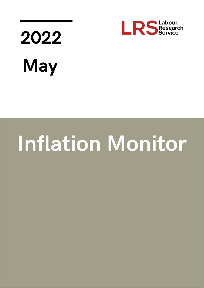

## 2022 **May**

## **Inflation Monitor**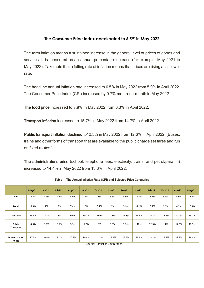## **The Consumer Price Index accelerated to 6.5% in May 2022**

The term inflation means a sustained increase in the general level of prices of goods and services. It is measured as an annual percentage increase (for example, May 2021 to May 2022). Take note that a falling rate of inflation means that prices are rising at a slower rate.

The headline annual inflation rate increased to 6.5% in May 2022 from 5.9% in April 2022. The Consumer Price Index (CPI) increased by 0.7% month-on-month in May 2022.

The food price increased to 7.8% in May 2022 from 6.3% in April 2022.

Transport inflation increased to 15.7% in May 2022 from 14.7% in April 2022.

Public transport inflation declined to12.5% in May 2022 from 12.6% in April 2022. (Buses, trains and other forms of transport that are available to the public charge set fares and run on fixed routes.)

The administrator's price (school, telephone fees, electricity, trains, and petrol/paraffin) increased to 14.4% in May 2022 from 13.3% in April 2022.

|                                        | $May-21$ | <b>Jun-21</b> | <b>Jul-21</b> | <b>Aug-21</b> | Sep-21 | Oct-21 | <b>Nov-21</b> | <b>Dec-21</b> | <b>Jan-22</b> | <b>Feb-22</b> | <b>Mar-22</b> | Apr-22 | $May-22$ |
|----------------------------------------|----------|---------------|---------------|---------------|--------|--------|---------------|---------------|---------------|---------------|---------------|--------|----------|
| <b>CPI</b>                             | 5.2%     | 4.9%          | 4.6%          | 4.9%          | 5%     | 5%     | 5.5%          | 5.9%          | 5.7%          | 5.7%          | 5.9%          | 5.9%   | 6.5%     |
| Food                                   | 6.8%     | 7%            | 7%            | 7.4%          | 7%     | 6.7%   | 6%            | 5.9%          | 6.2%          | 6.7%          | 6.6%          | 6.3%   | 7.8%     |
| <b>Transport</b>                       | 15.3%    | 12.3%         | 8%            | 9.9%          | 10.1%  | 10.9%  | 15%           | 16.8%         | 14.5%         | 14.3%         | 15.7%         | 14.7%  | 15.7%    |
| Public<br>Transport                    | 4.3%     | 6.9%          | 3.7%          | 5.3%          | 6.7%   | 6%     | 8.3%          | 9.9%          | 10%           | 12.3%         | 14%           | 12.6%  | 12.5%    |
| <b>Administration</b><br><b>Prices</b> | 12.5%    | 10.4%         | 9.1%          | 10.3%         | 10.4%  | 11.2%  | 14.1%         | 15.6%         | 13.8%         | 13.1%         | 14.3%         | 13.3%  | 14.4%    |

Table 1: The Annual Inflation Rate (CPI) and Selected Price Categories

Source: Statistics South Africa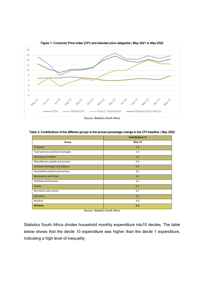

Figure 1: Consumer Price Index (CPI) and selected price categories | May 2021 to May 2022

Table 2: Contributions of the different groups to the annual percentage change in the CPI headline | May 2022

|                                  | <b>Contributions %</b> |
|----------------------------------|------------------------|
| Group                            | May-22                 |
| Transport                        | 2.1                    |
| Food and non-alcoholic beverages | 1.3                    |
| Housing and utilities            | 1.2                    |
| Miscellaneous goods and services | 0.6                    |
| Alcoholic beverages and tobacco  | 0.4                    |
| Household contents and services  | 0.2                    |
| <b>Restaurants and hotels</b>    | 0.2                    |
| Clothing and footwear            | 0.1                    |
| Health                           | 0.1                    |
| Recreation and culture           | 0.1                    |
| Education                        | 0.1                    |
| Residual                         | 0.0                    |
| <b>All items</b>                 | 6.5                    |

Source: Statistics South Africa

Statistics South Africa divides household monthly expenditure into10 deciles. The table below shows that the decile 10 expenditure was higher than the decile 1 expenditure, indicating a high level of inequality.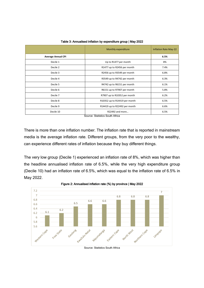|                           | Monthly expenditure                                | <b>Inflation Rate May-22</b> |
|---------------------------|----------------------------------------------------|------------------------------|
| <b>Average Annual CPI</b> |                                                    | 6.5%                         |
| Decile 1                  | Up to R1477 per month                              | 8%                           |
| Decile 2                  | R1477 up to R2456 per month                        | 7.4%                         |
| Decile 3                  | R2456 up to R3549 per month                        | 6.8%                         |
| Decile 4                  | R3549 up to R4742 per month                        | 6.3%                         |
| Decile 5                  | R4742 up to R6151 per month                        | 6.1%                         |
| Decile 6                  | R6151 up to R7907 per month                        | 5.8%                         |
| Decile 7                  | R7907 up to R10352 per month                       | 6.2%                         |
| Decile 8                  | R10352 up to R14419 per month                      | 6.5%                         |
| Decile 9                  | R14419 up to R22492 per month                      | 6.6%                         |
| Decile 10                 | R22492 and more<br>Course: Ctatistics Couth Africa | 6.5%                         |

Table 3: Annualised inflation by expenditure group | May 2022

Source: Statistics South Africa

There is more than one inflation number. The inflation rate that is reported in mainstream media is the average inflation rate. Different groups, from the very poor to the wealthy, can experience different rates of inflation because they buy different things.

The very low group (Decile 1) experienced an inflation rate of 8%, which was higher than the headline annualised inflation rate of 6.5%, while the very high expenditure group (Decile 10) had an inflation rate of 6.5%, which was equal to the inflation rate of 6.5% in May 2022.



Figure 2: Annualised inflation rate (%) by province | May 2022

Source: Statistics South Africa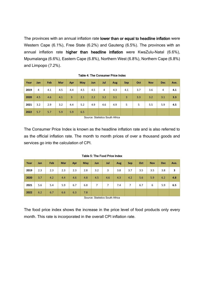The provinces with an annual inflation rate lower than or equal to headline inflation were Western Cape (6.1%), Free State (6.2%) and Gauteng (6.5%). The provinces with an annual inflation rate higher than headline inflation were KwaZulu-Natal (6.6%), Mpumalanga (6.6%), Eastern Cape (6.8%), Northern West (6.8%), Northern Cape (6.8%) and Limpopo (7.2%).

| Year | Jan | Feb | Mar | Apr            | May | Jun | Jul | Aug | <b>Sep</b> | Oct | <b>Nov</b> | <b>Dec</b> | Ave. |
|------|-----|-----|-----|----------------|-----|-----|-----|-----|------------|-----|------------|------------|------|
| 2019 | 4   | 4.1 | 4.5 | 4.4            | 4.5 | 4.5 | 4   | 4.3 | 4.1        | 3.7 | 3.6        | 4          | 4.1  |
| 2020 | 4.5 | 4.6 | 4.1 | $\overline{3}$ | 2.1 | 2.2 | 3.2 | 3.1 | 3          | 3.3 | 3.2        | 3.1        | 3.3  |
| 2021 | 3.2 | 2.9 | 3.2 | 4.4            | 5.2 | 4.9 | 4.6 | 4.9 | 5          | 5   | 5.5        | 5.9        | 4.5  |
| 2022 | 5.7 | 5.7 | 5.9 | 5.9            | 6.5 |     |     |     |            |     |            |            |      |

Table 4: The Consumer Price Index

Source: Statistics South Africa

The Consumer Price Index is known as the headline inflation rate and is also referred to as the official inflation rate. The month to month prices of over a thousand goods and services go into the calculation of CPI.

| Year | Jan | Feb | Mar | Apr | May | Jun            | Jul | Aug | <b>Sep</b>     | Oct | <b>Nov</b> | <b>Dec</b> | Ave. |
|------|-----|-----|-----|-----|-----|----------------|-----|-----|----------------|-----|------------|------------|------|
| 2019 | 2.3 | 2.3 | 2.3 | 2.3 | 2.8 | 3.2            | 3   | 3.8 | 3.7            | 3.5 | 3.5        | 3.8        | 3    |
| 2020 | 3.7 | 4.2 | 4.4 | 4.6 | 4.8 | 4.5            | 4.6 | 4.3 | 4.2            | 5.6 | 5.9        | 6.2        | 4.8  |
| 2021 | 5.6 | 5.4 | 5.9 | 6.7 | 6.8 | $\overline{7}$ | 7   | 7.4 | $\overline{7}$ | 6.7 | 6          | 5.9        | 6.5  |
| 2022 | 6.2 | 6.7 | 6.6 | 6.3 | 7.8 |                |     |     |                |     |            |            |      |

Table 5: The Food Price Index

Source: Statistics South Africa

The food price index shows the increase in the price level of food products only every month. This rate is incorporated in the overall CPI inflation rate.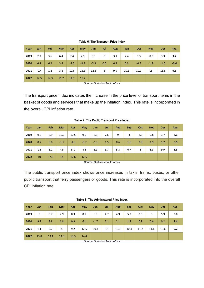|  | Table 6: The Transport Price Index |  |
|--|------------------------------------|--|
|--|------------------------------------|--|

| Year | Jan    | Feb  | <b>Mar</b> | Apr    | May    | Jun    | Jul | Aug | <b>Sep</b> | Oct    | <b>Nov</b> | <b>Dec</b> | Ave.   |
|------|--------|------|------------|--------|--------|--------|-----|-----|------------|--------|------------|------------|--------|
| 2019 | 2.9    | 3.6  | 6.4        | 7.4    | 7.1    | 5.5    | 3   | 3.1 | 2.4        | 0.3    | $-0.3$     | 3.3        | 3.7    |
| 2020 | 6.4    | 6.2  | 3.4        | $-3.5$ | $-8.4$ | $-5.9$ | 0.0 | 0.2 | 0.3        | $-0.5$ | $-1.3$     | $-1.6$     | $-0.4$ |
| 2021 | $-0.4$ | 1.2  | 3.8        | 10.6   | 15.3   | 12.3   | 8   | 9.9 | 10.1       | 10.9   | 15         | 16.8       | 9.5    |
| 2022 | 14.5   | 14.3 | 15.7       | 14.7   | 15.7   |        |     |     |            |        |            |            |        |

Source: Statistics South Africa

The transport price index indicates the increase in the price level of transport items in the basket of goods and services that make up the inflation index. This rate is incorporated in the overall CPI inflation rate.

| Year | Jan | Feb  | Mar    | <b>Apr</b> | May    | Jun    | Jul | Aug | <b>Sep</b> | Oct | <b>Nov</b> | <b>Dec</b> | Ave. |
|------|-----|------|--------|------------|--------|--------|-----|-----|------------|-----|------------|------------|------|
| 2019 | 9.6 | 8.9  | 10.1   | 10.5       | 9.5    | 8.3    | 7.6 | 9   | 3          | 2.5 | 2.8        | 3.7        | 7.1  |
| 2020 | 0.7 | 0.8  | $-1.7$ | $-1.8$     | $-0.7$ | $-1.1$ | 1.5 | 0.6 | 1.6        | 2.9 | 1.9        | 1.2        | 0.5  |
| 2021 | 1.5 | 1.2  | 4.5    | 5.1        | 4.3    | 6.9    | 3.7 | 5.3 | 6.7        | 6   | 8,3        | 9.9        | 5.3  |
| 2022 | 10  | 12.3 | 14     | 12.6       | 12.5   |        |     |     |            |     |            |            |      |

Table 7: The Public Transport Price Index

Source: Statistics South Africa

The public transport price index shows price increases in taxis, trains, buses, or other public transport that ferry passengers or goods. This rate is incorporated into the overall CPI inflation rate

|  |  |  | Table 8: The Administered Price Index |  |  |
|--|--|--|---------------------------------------|--|--|
|--|--|--|---------------------------------------|--|--|

| Year | Jan  | Feb  | Mar            | Apr  | <b>May</b> | Jun    | Jul | Aug  | <b>Sep</b> | Oct  | <b>Nov</b> | <b>Dec</b> | Ave. |
|------|------|------|----------------|------|------------|--------|-----|------|------------|------|------------|------------|------|
| 2019 | 5    | 5.7  | 7.9            | 8.3  | 8.2        | 6.9    | 4.7 | 4.9  | 5.2        | 3.5  | 3          | 5.9        | 5.8  |
| 2020 | 9.2  | 8.8  | 6.8            | 0.9  | $-3.1$     | $-1.7$ | 2.1 | 2.1  | 1.8        | 0.9  | 0.6        | 0.2        | 2.4  |
| 2021 | 1.1  | 2.7  | $\overline{4}$ | 9.2  | 12.5       | 10.4   | 9.1 | 10.3 | 10.4       | 11.2 | 14.1       | 15.6       | 9.2  |
| 2022 | 13.8 | 13.1 | 14.3           | 13.3 | 14.4       |        |     |      |            |      |            |            |      |

Source: Statistics South Africa